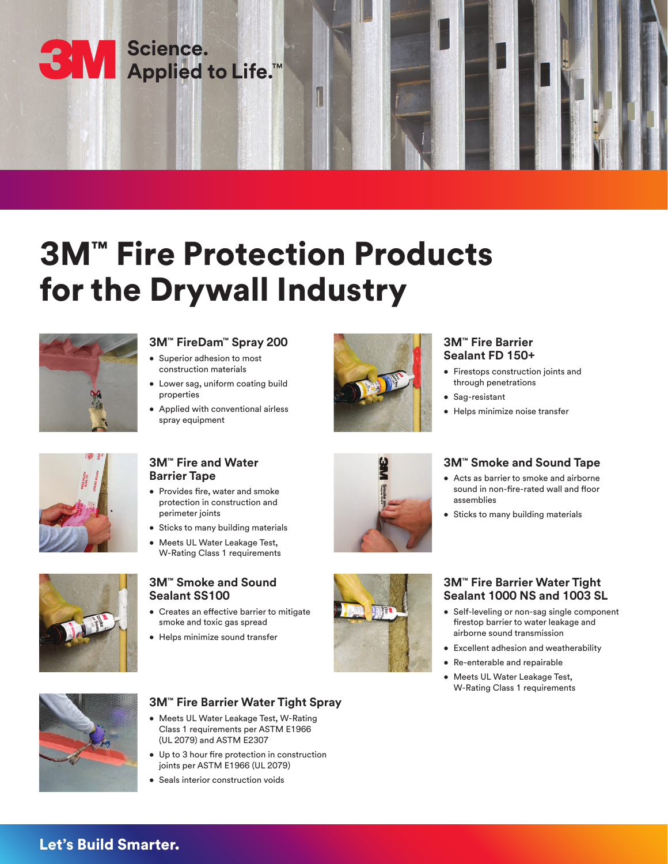SM Science.<br>SM Applied to Life.™

# 3M™ Fire Protection Products for the Drywall Industry



# **3M™ FireDam™ Spray 200**

- Superior adhesion to most construction materials
- Lower sag, uniform coating build properties
- Applied with conventional airless spray equipment



### **3M™ Fire Barrier Sealant FD 150+**

- Firestops construction joints and through penetrations
- Sag-resistant

assemblies

• Helps minimize noise transfer



### **3M™ Fire and Water Barrier Tape**

- Provides fire, water and smoke protection in construction and perimeter joints
- Sticks to many building materials
- Meets UL Water Leakage Test, W-Rating Class 1 requirements



### **3M™ Smoke and Sound Sealant SS100**

- Creates an effective barrier to mitigate smoke and toxic gas spread
- Helps minimize sound transfer



• Sticks to many building materials

**3M™ Smoke and Sound Tape** • Acts as barrier to smoke and airborne sound in non-fire-rated wall and floor



### **3M™ Fire Barrier Water Tight Sealant 1000 NS and 1003 SL**

- Self-leveling or non-sag single component firestop barrier to water leakage and airborne sound transmission
- Excellent adhesion and weatherability
- Re-enterable and repairable
- Meets UL Water Leakage Test, W-Rating Class 1 requirements



### **3M™ Fire Barrier Water Tight Spray**

- Meets UL Water Leakage Test, W-Rating Class 1 requirements per ASTM E1966 (UL 2079) and ASTM E2307
- Up to 3 hour fire protection in construction joints per ASTM E1966 (UL 2079)
- Seals interior construction voids